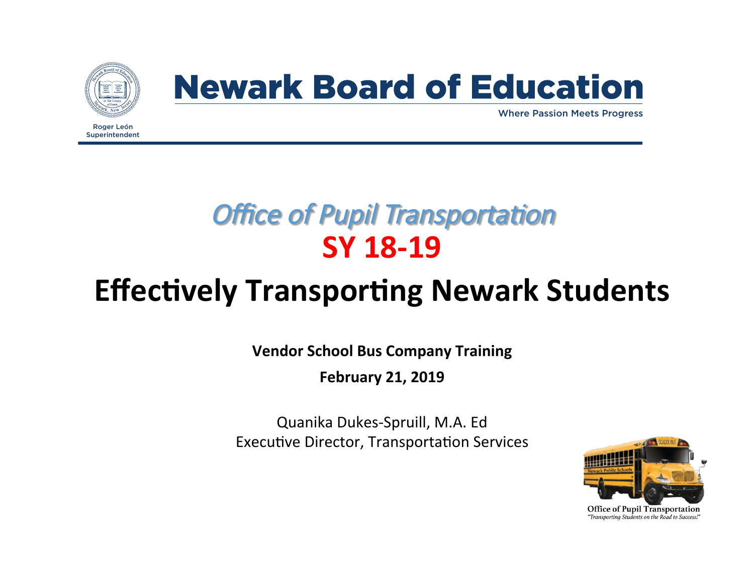

Superintendent

# **Newark Board of Education**

Where Passion Meets Progress

### **Office of Pupil Transportation SY 18-19**

# **Effectively Transporting Newark Students**

**Vendor School Bus Company Training** 

**February 21, 2019** 

Quanika Dukes-Spruill, M.A. Ed Executive Director, Transportation Services

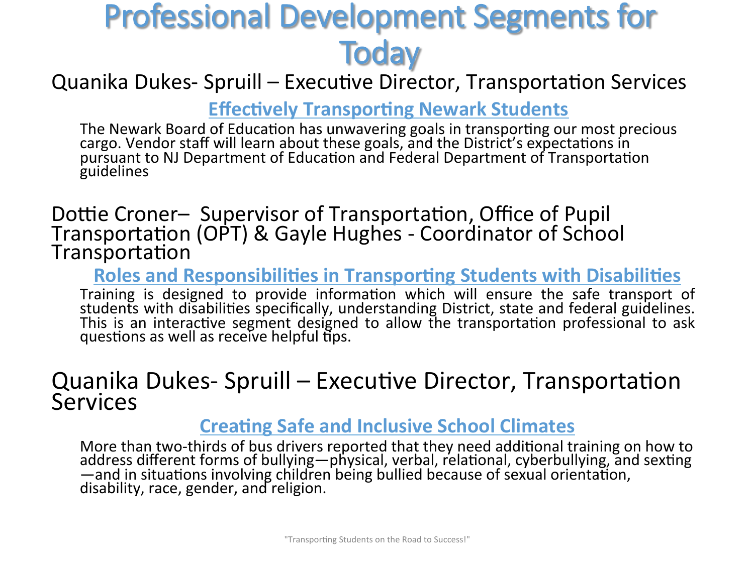# Professional Development Segments for **Today**

Quanika Dukes- Spruill – Executive Director, Transportation Services

**Effectively Transporting Newark Students** 

The Newark Board of Education has unwavering goals in transporting our most precious cargo. Vendor staff will learn about these goals, and the District's expectations in pursuant to NJ Department of Education and Federal Department of Transportation guidelines 

Dottie Croner– Supervisor of Transportation, Office of Pupil Transportation (OPT) & Gayle Hughes - Coordinator of School Transportation

**Roles and Responsibilities in Transporting Students with Disabilities** 

Training is designed to provide information which will ensure the safe transport of students with disabilities specifically, understanding District, state and federal guidelines. This is an interactive segment designed to allow the transportation professional to ask questions as well as receive helpful tips.

#### Quanika Dukes- Spruill – Executive Director, Transportation **Services**

#### **Creating Safe and Inclusive School Climates**

More than two-thirds of bus drivers reported that they need additional training on how to address different forms of bullying—physical, verbal, relational, cyberbullying, and sexting —and in situations involving children being bullied because of sexual orientation, disability, race, gender, and religion.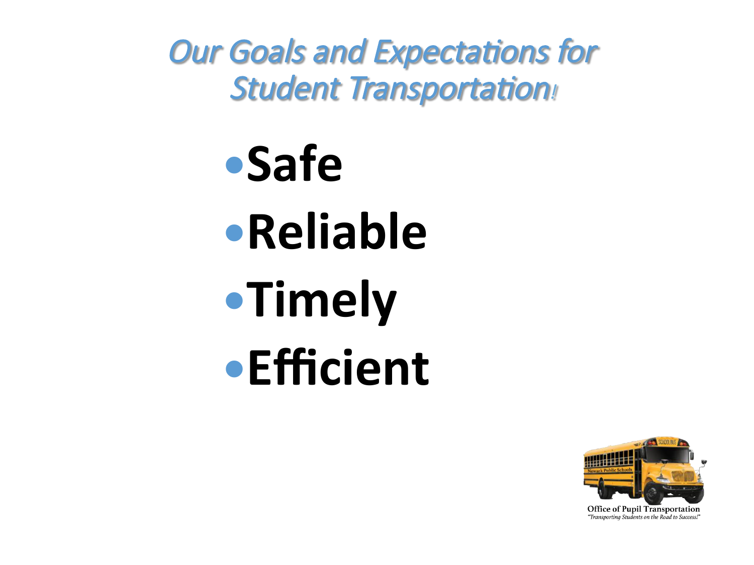**Our Goals and Expectations for Student Transportation!** 

> **Safe •Reliable •Timely Efficient**

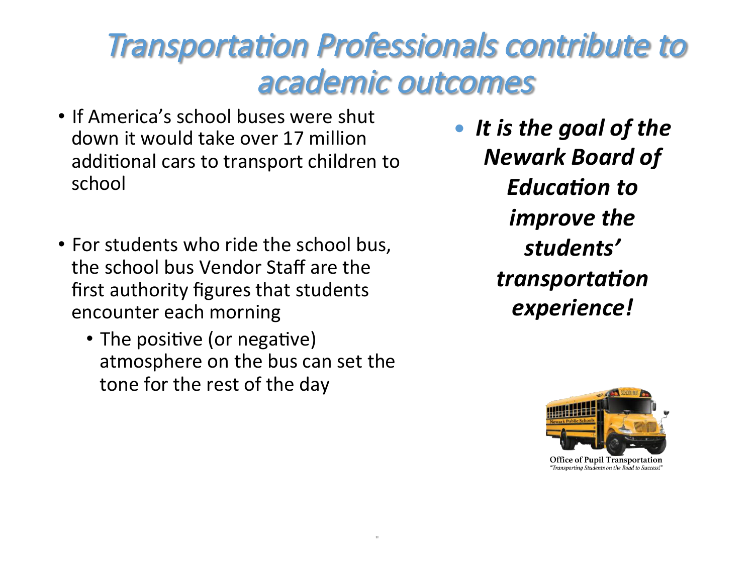# **Transportation Professionals contribute to** academic outcomes

" 

- If America's school buses were shut down it would take over 17 million additional cars to transport children to school
- For students who ride the school bus, the school bus Vendor Staff are the first authority figures that students encounter each morning
	- The positive (or negative) atmosphere on the bus can set the tone for the rest of the day

**•** It is the goal of the *Newark Board of Education* to *improve the students' transportation experience!* 



"Transporting Students on the Road to Success!"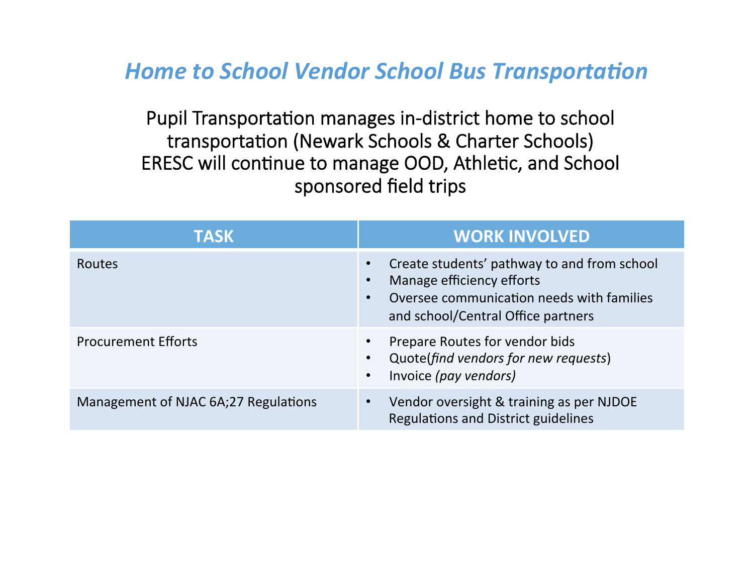**Home to School Vendor School Bus Transportation** 

Pupil Transportation manages in-district home to school transportation (Newark Schools & Charter Schools) ERESC will continue to manage OOD, Athletic, and School sponsored field trips

| <b>TASK</b>                          | <b>WORK INVOLVED</b>                                                                                                                                        |
|--------------------------------------|-------------------------------------------------------------------------------------------------------------------------------------------------------------|
| <b>Routes</b>                        | Create students' pathway to and from school<br>Manage efficiency efforts<br>Oversee communication needs with families<br>and school/Central Office partners |
| <b>Procurement Efforts</b>           | Prepare Routes for vendor bids<br>Quote(find vendors for new requests)<br>Invoice (pay vendors)<br>$\bullet$                                                |
| Management of NJAC 6A;27 Regulations | Vendor oversight & training as per NJDOE<br><b>Regulations and District guidelines</b>                                                                      |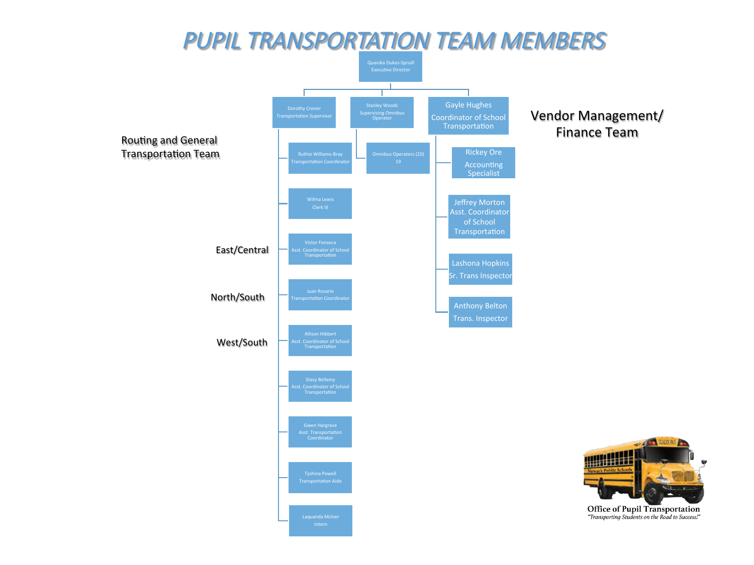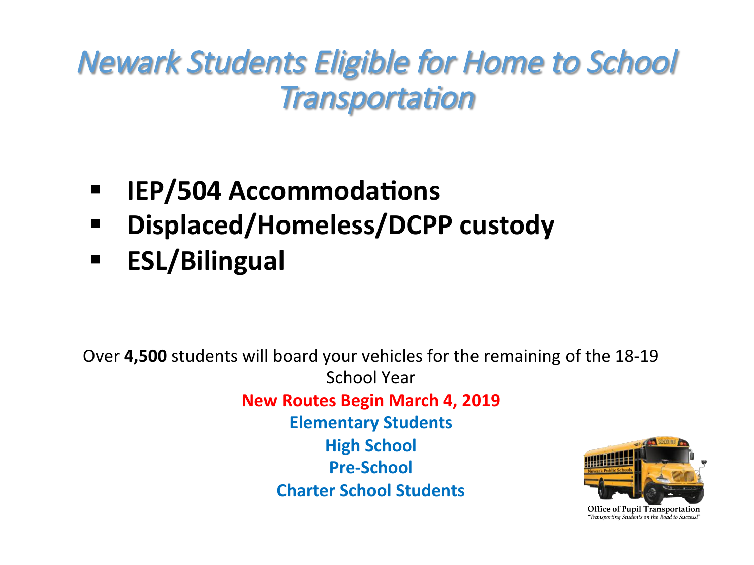# Newark Students Eligible for Home to School **Transportation**

- **IEP/504 Accommodations**
- **E** Displaced/Homeless/DCPP custody
- § **ESL/Bilingual**

Over **4,500** students will board your vehicles for the remaining of the 18-19 School Year **New Routes Begin March 4, 2019 Elementary Students High School Pre-School Charter School Students** 

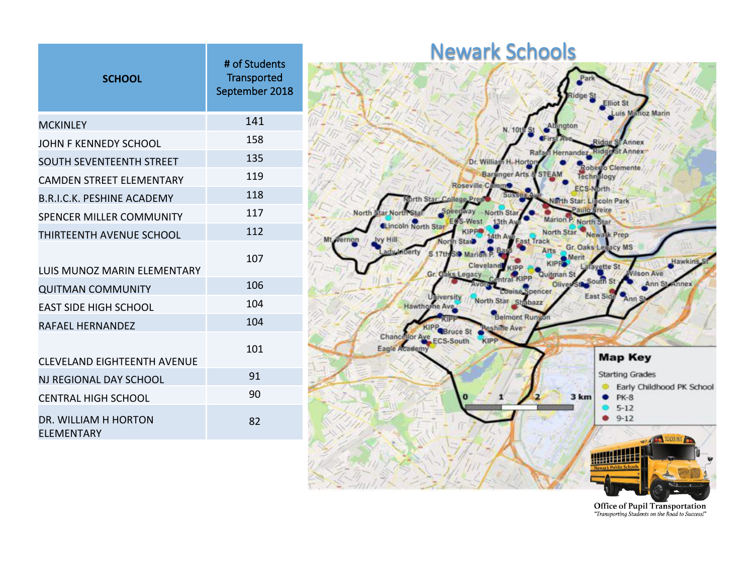| <b>SCHOOL</b>                             | # of Students<br><b>Transported</b><br>September 2018 |
|-------------------------------------------|-------------------------------------------------------|
| <b>MCKINLEY</b>                           | 141                                                   |
| JOHN F KENNEDY SCHOOL                     | 158                                                   |
| <b>SOUTH SEVENTEENTH STREET</b>           | 135                                                   |
| <b>CAMDEN STREET ELEMENTARY</b>           | 119                                                   |
| <b>B.R.I.C.K. PESHINE ACADEMY</b>         | 118                                                   |
| <b>SPENCER MILLER COMMUNITY</b>           | 117                                                   |
| THIRTFFNTH AVFNUF SCHOOL                  | 112                                                   |
| LUIS MUNOZ MARIN ELEMENTARY               | 107                                                   |
| <b>QUITMAN COMMUNITY</b>                  | 106                                                   |
| <b>EAST SIDE HIGH SCHOOL</b>              | 104                                                   |
| RAFAFL HFRNANDFZ                          | 104                                                   |
| CLFVFLAND FIGHTFFNTH AVFNUF               | 101                                                   |
| NJ REGIONAL DAY SCHOOL                    | 91                                                    |
| CENTRAL HIGH SCHOOL                       | 90                                                    |
| DR. WILLIAM H HORTON<br><b>ELEMENTARY</b> | 82                                                    |



Office of Pupil Transportation "Transporting Students on the Road to Success!"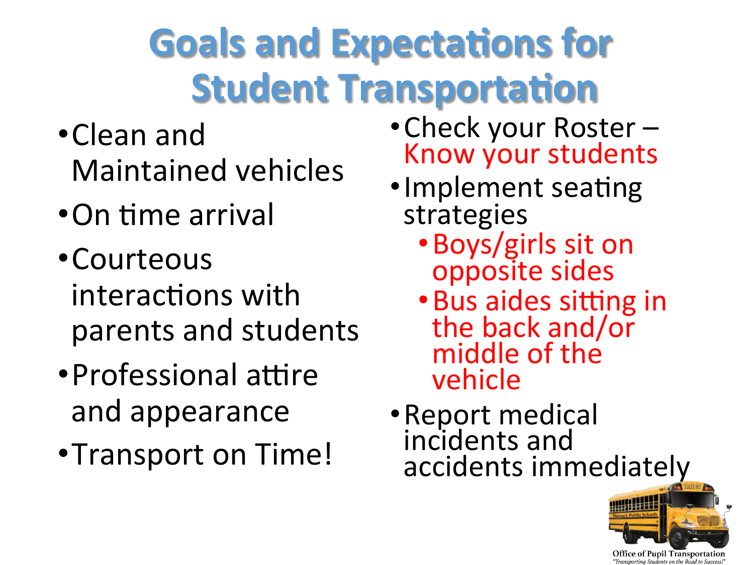# **Goals and Expectations for Student Transportation**

- •Clean and Maintained vehicles
- •On time arrival
- •Courteous interactions with parents and students
- Professional attire and appearance
- •Transport on Time!
- Check your Roster Know your students
- Implement seating strategies
	- · Boys/girls sit on opposite sides
	- Bus aides sitting in the back and/or middle of the vehicle
- · Report medical incidents and accidents immediately



"Transportina Students on the Road to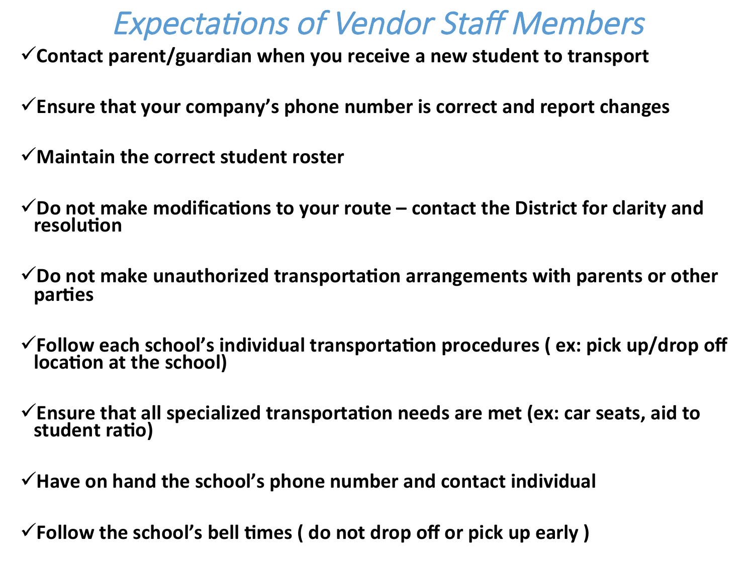## **Expectations of Vendor Staff Members**

V Contact parent/guardian when you receive a new student to transport

Ensure that your company's phone number is correct and report changes

- $\checkmark$  Maintain the correct student roster
- $\checkmark$  Do not make modifications to your route  $-$  contact the District for clarity and **resolution**
- $\checkmark$  Do not make unauthorized transportation arrangements with parents or other **parties**
- $\checkmark$  Follow each school's individual transportation procedures ( $ex:$  pick up/drop off **location at the school)**
- $\checkmark$  Ensure that all specialized transportation needs are met (ex: car seats, aid to student ratio)
- $\checkmark$  Have on hand the school's phone number and contact individual

 $\checkmark$  Follow the school's bell times ( do not drop off or pick up early )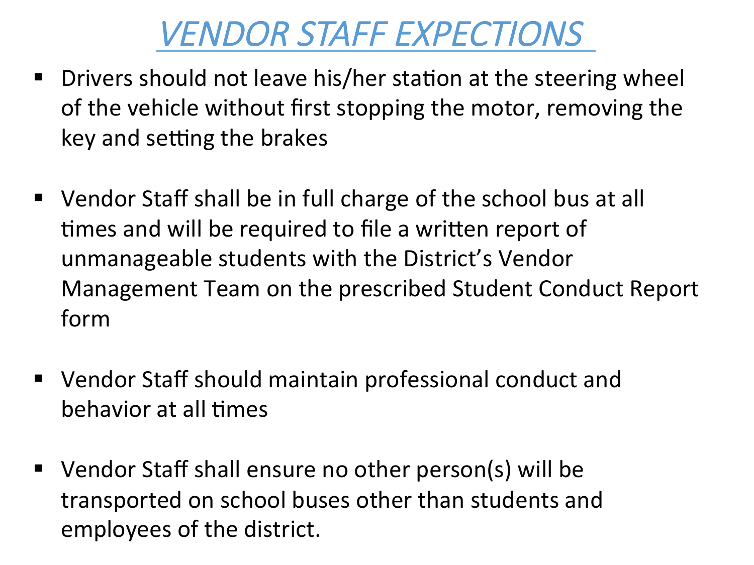# VENDOR STAFF EXPECTIONS

- **•** Drivers should not leave his/her station at the steering wheel of the vehicle without first stopping the motor, removing the key and setting the brakes
- Vendor Staff shall be in full charge of the school bus at all times and will be required to file a written report of unmanageable students with the District's Vendor Management Team on the prescribed Student Conduct Report form
- Vendor Staff should maintain professional conduct and behavior at all times
- Vendor Staff shall ensure no other person(s) will be transported on school buses other than students and employees of the district.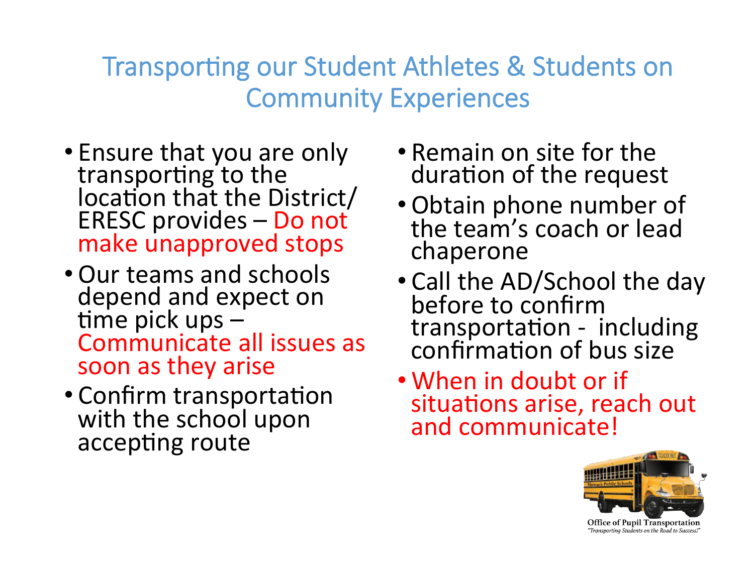#### Transporting our Student Athletes & Students on Community Experiences

- Ensure that you are only transporting to the location that the District/  $ERESC$  provides  $-$  Do not make unapproved stops
- Our teams and schools depend and expect on time pick ups  $-$ Communicate all issues as soon as they arise
- Confirm transportation with the school upon accepting route
- Remain on site for the duration of the request
- Obtain phone number of the team's coach or lead chaperone
- Call the AD/School the day before to confirm transportation - including confirmation of bus size
- When in doubt or if situations arise, reach out and communicate!



Office of Pupil Transportation "Transporting Students on the Road to Success!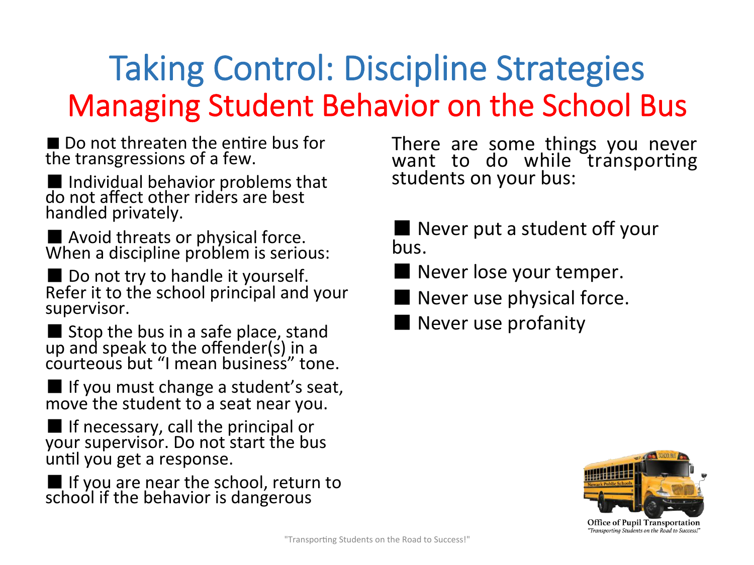# Taking Control: Discipline Strategies Managing Student Behavior on the School Bus

 $\blacksquare$  Do not threaten the entire bus for the transgressions of a few.

■ Individual behavior problems that do not affect other riders are best handled privately.

■ Avoid threats or physical force.<br>When a discipline problem is serious:

■ Do not try to handle it yourself. Refer it to the school principal and your supervisor. 

■ Stop the bus in a safe place, stand<br>up and speak to the offender(s) in a courteous but "I mean business" tone.

■ If you must change a student's seat, move the student to a seat near you.

 $\blacksquare$  If necessary, call the principal or your supervisor. Do not start the bus until you get a response.

 $\blacksquare$  If you are near the school, return to school if the behavior is dangerous

There are some things you never want to do while transporting students on your bus:

■ Never put a student off your bus. 

■ Never lose your temper.

- Never use physical force.
- Never use profanity

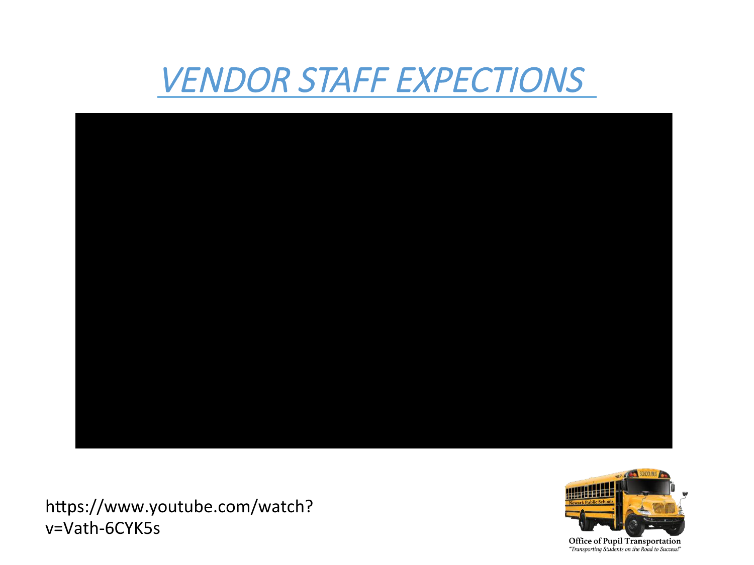# VENDOR STAFF EXPECTIONS



https://www.youtube.com/watch? v=Vath-6CYK5s 

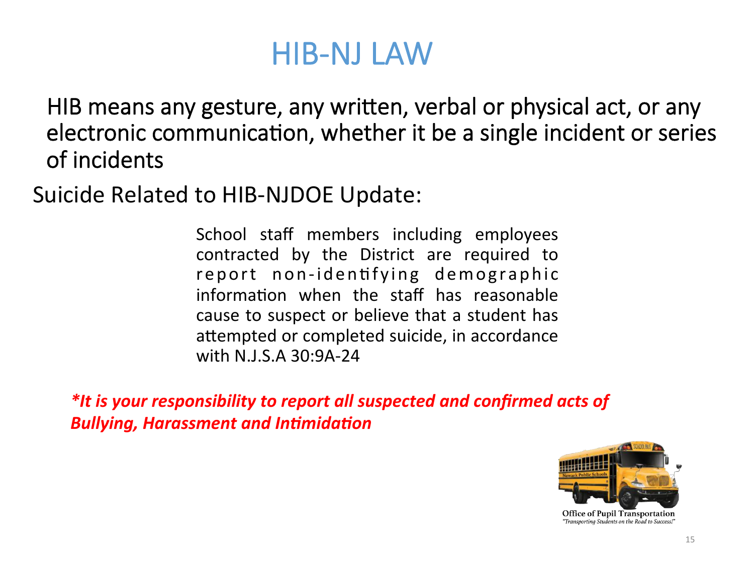## HIB-NJ LAW

HIB means any gesture, any written, verbal or physical act, or any electronic communication, whether it be a single incident or series of incidents

Suicide Related to HIB-NJDOE Update:

School staff members including employees contracted by the District are required to report non-identifying demographic information when the staff has reasonable cause to suspect or believe that a student has attempted or completed suicide, in accordance with N.J.S.A 30:9A-24

*\*It is your responsibility to report all suspected and confirmed acts of* **Bullying, Harassment and Intimidation** 

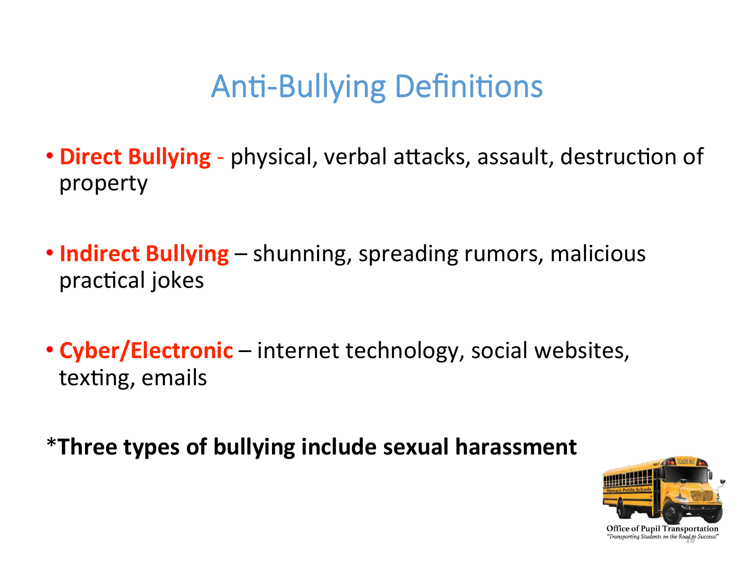# **Anti-Bullying Definitions**

- **Direct Bullying** physical, verbal attacks, assault, destruction of property
- **Indirect Bullying** shunning, spreading rumors, malicious practical jokes
- **Cyber/Electronic** internet technology, social websites, texting, emails

\***Three types of bullying include sexual harassment** 

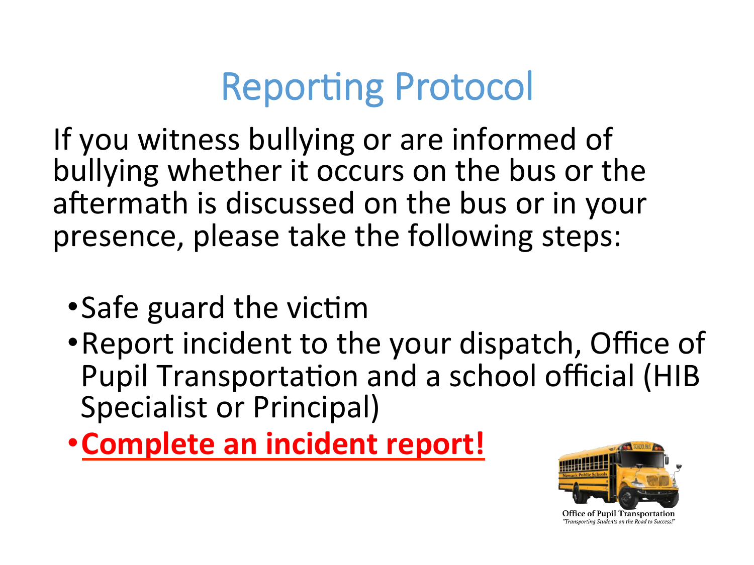# **Reporting Protocol**

If you witness bullying or are informed of bullying whether it occurs on the bus or the aftermath is discussed on the bus or in your presence, please take the following steps:

- Safe guard the victim
- Report incident to the your dispatch, Office of Pupil Transportation and a school official (HIB Specialist or Principal)
- **Complete an incident report!**

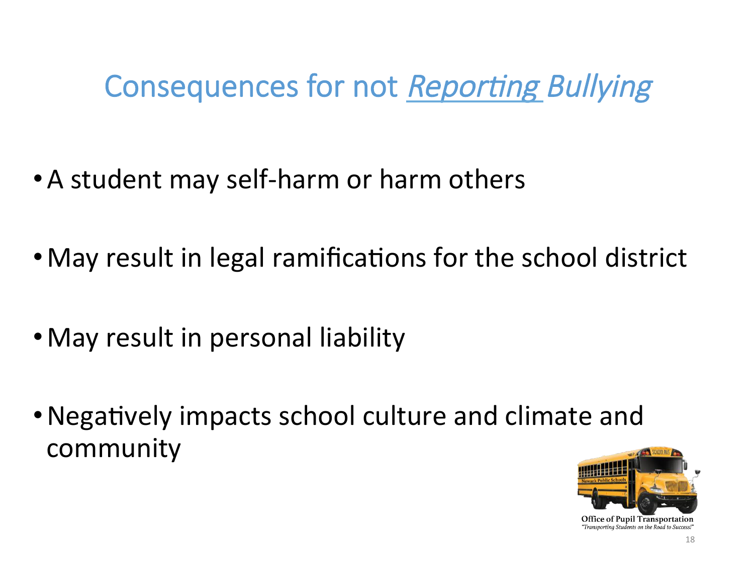# Consequences for not Reporting Bullying

- A student may self-harm or harm others
- May result in legal ramifications for the school district
- May result in personal liability
- Negatively impacts school culture and climate and community



"Transporting Students on the Road to Success!"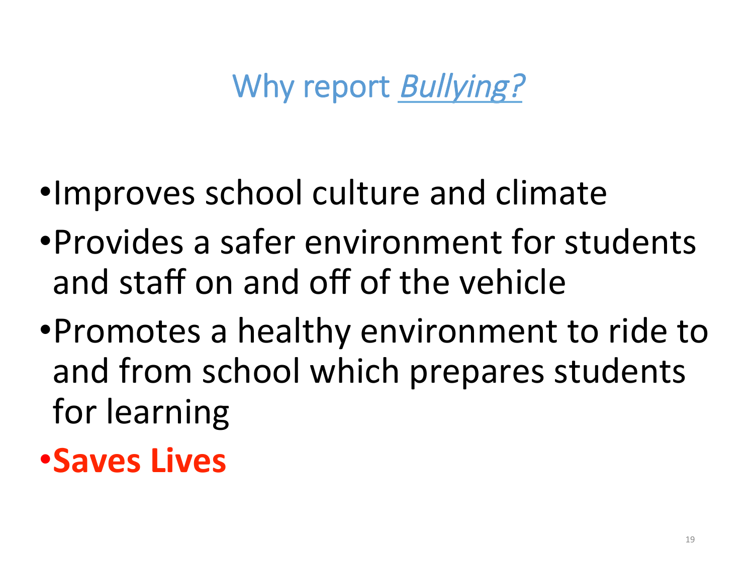# Why report *Bullying?*

- •Improves school culture and climate
- •Provides a safer environment for students and staff on and off of the vehicle
- •Promotes a healthy environment to ride to and from school which prepares students for learning

# **•Saves Lives**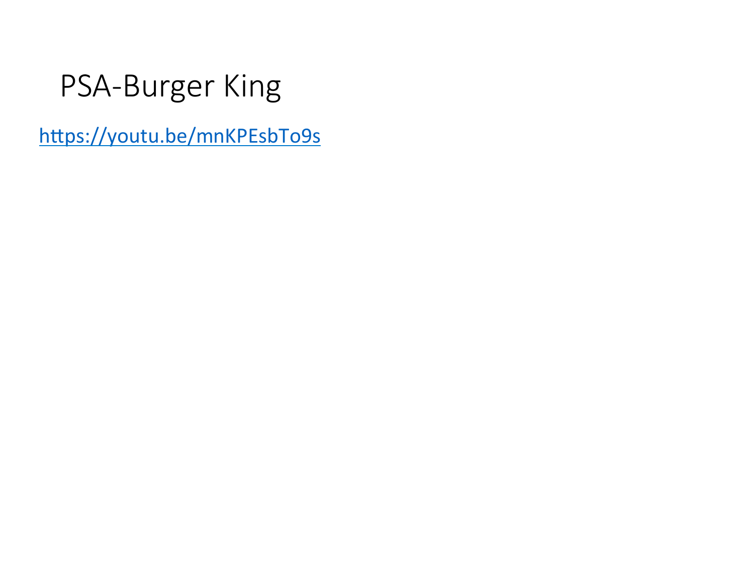# PSA-Burger King

https://youtu.be/mnKPEsbTo9s